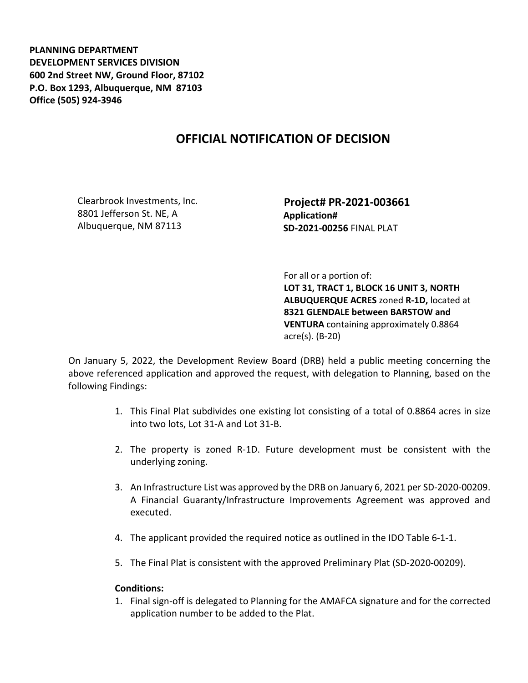**PLANNING DEPARTMENT DEVELOPMENT SERVICES DIVISION 600 2nd Street NW, Ground Floor, 87102 P.O. Box 1293, Albuquerque, NM 87103 Office (505) 924-3946** 

## **OFFICIAL NOTIFICATION OF DECISION**

Clearbrook Investments, Inc. 8801 Jefferson St. NE, A Albuquerque, NM 87113

 **Project# PR-2021-003661 Application# SD-2021-00256** FINAL PLAT

 For all or a portion of: **LOT 31, TRACT 1, BLOCK 16 UNIT 3, NORTH ALBUQUERQUE ACRES** zoned **R-1D,** located at **8321 GLENDALE between BARSTOW and VENTURA** containing approximately 0.8864 acre(s). (B-20)

On January 5, 2022, the Development Review Board (DRB) held a public meeting concerning the above referenced application and approved the request, with delegation to Planning, based on the following Findings:

- 1. This Final Plat subdivides one existing lot consisting of a total of 0.8864 acres in size into two lots, Lot 31-A and Lot 31-B.
- 2. The property is zoned R-1D. Future development must be consistent with the underlying zoning.
- 3. An Infrastructure List was approved by the DRB on January 6, 2021 per SD-2020-00209. A Financial Guaranty/Infrastructure Improvements Agreement was approved and executed.
- 4. The applicant provided the required notice as outlined in the IDO Table 6-1-1.
- 5. The Final Plat is consistent with the approved Preliminary Plat (SD-2020-00209).

## **Conditions:**

1. Final sign-off is delegated to Planning for the AMAFCA signature and for the corrected application number to be added to the Plat.